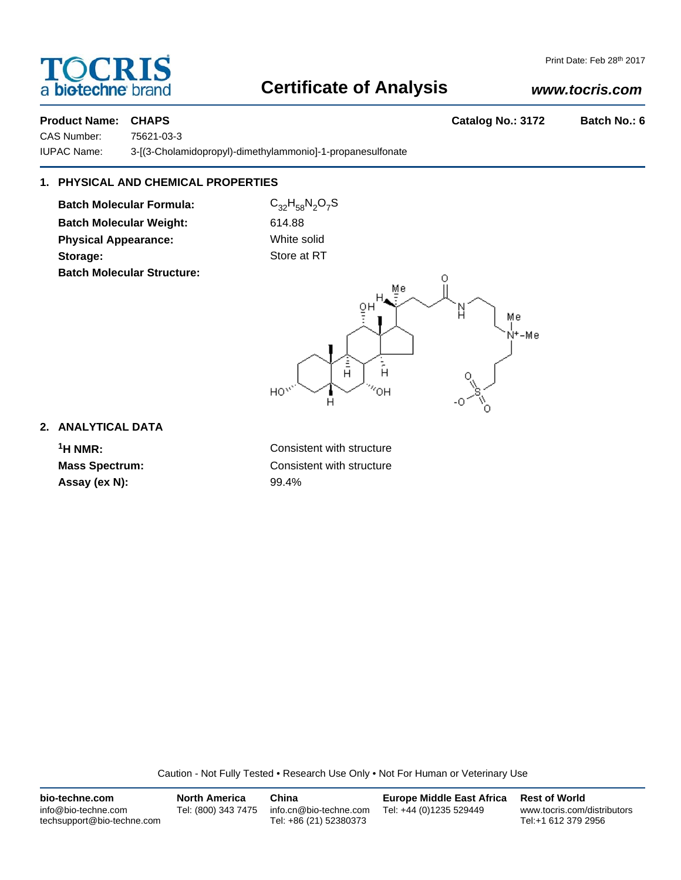# a bio-techne brand

#### Print Date: Feb 28th 2017

### **Certificate of Analysis**

#### *www.tocris.com*

**Product Name: CHAPS Catalog No.: 3172 Batch No.: 6** 

CAS Number: 75621-03-3

IUPAC Name: 3-[(3-Cholamidopropyl)-dimethylammonio]-1-propanesulfonate

### **1. PHYSICAL AND CHEMICAL PROPERTIES**

**Batch Molecular Formula:** C<sub>32</sub>H<sub>58</sub>N<sub>2</sub>O<sub>7</sub>S **Batch Molecular Weight:** 614.88 **Physical Appearance:** White solid **Storage:** Store at RT **Batch Molecular Structure:**



#### **2. ANALYTICAL DATA**

**Assay (ex N):** 99.4%

**1H NMR:** Consistent with structure **Mass Spectrum:** Consistent with structure

Caution - Not Fully Tested • Research Use Only • Not For Human or Veterinary Use

| bio-techne.com                                    | <b>North America</b> | China                                            | <b>Europe Middle East Africa</b> | <b>Rest of World</b>                               |
|---------------------------------------------------|----------------------|--------------------------------------------------|----------------------------------|----------------------------------------------------|
| info@bio-techne.com<br>techsupport@bio-techne.com | Tel: (800) 343 7475  | info.cn@bio-techne.com<br>Tel: +86 (21) 52380373 | Tel: +44 (0)1235 529449          | www.tocris.com/distributors<br>Tel:+1 612 379 2956 |